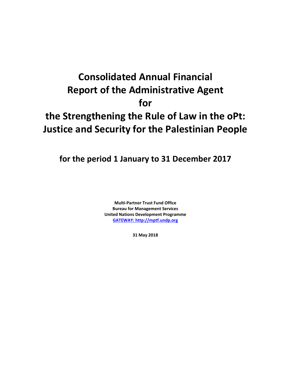# **Consolidated Annual Financial Report of the Administrative Agent for the Strengthening the Rule of Law in the oPt: Justice and Security for the Palestinian People**

**for the period 1 January to 31 December 2017**

**Multi-Partner Trust Fund Office Bureau for Management Services United Nations Development Programme [GATEWAY: http://mptf.undp.org](http://mptf.undp.org/)**

**31 May 2018**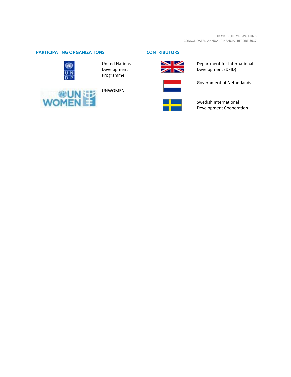## **PARTICIPATING ORGANIZATIONS CONTRIBUTORS**



United Nations Development Programme



UNWOMEN



Department for International Development (DFID)



Government of Netherlands



Swedish International Development Cooperation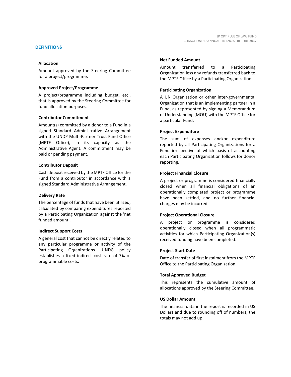Amount approved by the Steering Committee for a project/programme.

## **Approved Project/Programme**

A project/programme including budget, etc., that is approved by the Steering Committee for fund allocation purposes.

## **Contributor Commitment**

Amount(s) committed by a donor to a Fund in a signed Standard Administrative Arrangement with the UNDP Multi-Partner Trust Fund Office (MPTF Office), in its capacity as the Administrative Agent. A commitment may be paid or pending payment.

#### **Contributor Deposit**

Cash deposit received by the MPTF Office for the Fund from a contributor in accordance with a signed Standard Administrative Arrangement.

## **Delivery Rate**

The percentage of funds that have been utilized, calculated by comparing expenditures reported by a Participating Organization against the 'net funded amount'.

## **Indirect Support Costs**

A general cost that cannot be directly related to any particular programme or activity of the Participating Organizations. UNDG policy establishes a fixed indirect cost rate of 7% of programmable costs.

#### **Net Funded Amount**

Amount transferred to a Participating Organization less any refunds transferred back to the MPTF Office by a Participating Organization.

## **Participating Organization**

A UN Organization or other inter-governmental Organization that is an implementing partner in a Fund, as represented by signing a Memorandum of Understanding (MOU) with the MPTF Office for a particular Fund.

#### **Project Expenditure**

The sum of expenses and/or expenditure reported by all Participating Organizations for a Fund irrespective of which basis of accounting each Participating Organization follows for donor reporting.

## **Project Financial Closure**

A project or programme is considered financially closed when all financial obligations of an operationally completed project or programme have been settled, and no further financial charges may be incurred.

## **Project Operational Closure**

A project or programme is considered operationally closed when all programmatic activities for which Participating Organization(s) received funding have been completed.

## **Project Start Date**

Date of transfer of first instalment from the MPTF Office to the Participating Organization.

## **Total Approved Budget**

This represents the cumulative amount of allocations approved by the Steering Committee.

#### **US Dollar Amount**

The financial data in the report is recorded in US Dollars and due to rounding off of numbers, the totals may not add up.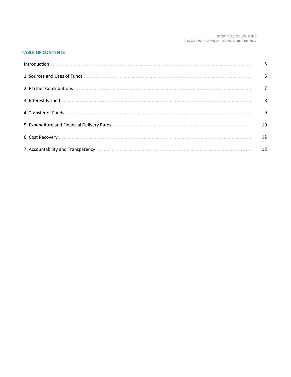#### JP OPT RULE OF LAW FUND CONSOLIDATED ANNUAL FINANCIAL REPORT **2017**

## **TABLE OF CONTENTS**

| 6  |
|----|
|    |
|    |
|    |
| 10 |
|    |
|    |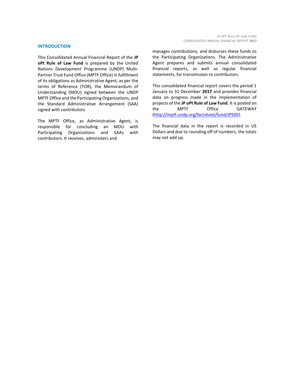#### **INTRODUCTION**

This Consolidated Annual Financial Report of the **JP oPt Rule of Law Fund** is prepared by the United Nations Development Programme (UNDP) Multi-Partner Trust Fund Office (MPTF Office) in fulfillment of its obligations as Administrative Agent, as per the terms of Reference (TOR), the Memorandum of Understanding (MOU) signed between the UNDP MPTF Office and the Participating Organizations, and the Standard Administrative Arrangement (SAA) signed with contributors.

The MPTF Office, as Administrative Agent, is responsible for concluding an MOU with Participating Organizations and SAAs with contributors. It receives, administers and

manages contributions, and disburses these funds to the Participating Organizations. The Administrative Agent prepares and submits annual consolidated financial reports, as well as regular financial statements, for transmission to contributors.

This consolidated financial report covers the period 1 January to 31 December **2017** and provides financial data on progress made in the implementation of projects of the **JP oPt Rule of Law Fund**. It is posted on the MPTF Office GATEWAY [\(http://mptf.undp.org/factsheet/fund/JPS00\)](http://mptf.undp.org/factsheet/fund/JPS00).

The financial data in the report is recorded in US Dollars and due to rounding off of numbers, the totals may not add up.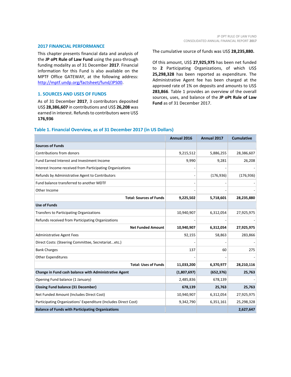#### **2017 FINANCIAL PERFORMANCE**

This chapter presents financial data and analysis of the **JP oPt Rule of Law Fund** using the pass-through funding modality as of 31 December **2017**. Financial information for this Fund is also available on the MPTF Office GATEWAY, at the following address: [http://mptf.undp.org/factsheet/fund/JPS00.](http://mptf.undp.org/factsheet/fund/JPS00)

## **1. SOURCES AND USES OF FUNDS**

As of 31 December **2017**, 3 contributors deposited US\$ **28,386,607** in contributions and US\$ **26,208** was earned in interest. Refunds to contributors were US\$ **176,936**

The cumulative source of funds was US\$ **28,235,880.**

Of this amount, US\$ **27,925,975** has been net funded to **2** Participating Organizations, of which US\$ **25,298,328** has been reported as expenditure. The Administrative Agent fee has been charged at the approved rate of 1% on deposits and amounts to US\$ **283,866**. Table 1 provides an overview of the overall sources, uses, and balance of the **JP oPt Rule of Law Fund** as of 31 December 2017.

## **Table 1. Financial Overview, as of 31 December 2017 (in US Dollars)**

|                                                                 | Annual 2016 | Annual 2017 | <b>Cumulative</b> |
|-----------------------------------------------------------------|-------------|-------------|-------------------|
| <b>Sources of Funds</b>                                         |             |             |                   |
| Contributions from donors                                       | 9,215,512   | 5,886,255   | 28,386,607        |
| Fund Earned Interest and Investment Income                      | 9,990       | 9,281       | 26,208            |
| Interest Income received from Participating Organizations       |             |             |                   |
| Refunds by Administrative Agent to Contributors                 |             | (176, 936)  | (176, 936)        |
| Fund balance transferred to another MDTF                        |             |             |                   |
| Other Income                                                    |             |             |                   |
| <b>Total: Sources of Funds</b>                                  | 9,225,502   | 5,718,601   | 28,235,880        |
| <b>Use of Funds</b>                                             |             |             |                   |
| Transfers to Participating Organizations                        | 10,940,907  | 6,312,054   | 27,925,975        |
| Refunds received from Participating Organizations               |             |             |                   |
| <b>Net Funded Amount</b>                                        | 10,940,907  | 6,312,054   | 27,925,975        |
| Administrative Agent Fees                                       | 92,155      | 58,863      | 283,866           |
| Direct Costs: (Steering Committee, Secretariatetc.)             |             |             |                   |
| <b>Bank Charges</b>                                             | 137         | 60          | 275               |
| Other Expenditures                                              |             |             |                   |
| <b>Total: Uses of Funds</b>                                     | 11,033,200  | 6,370,977   | 28,210,116        |
| Change in Fund cash balance with Administrative Agent           | (1,807,697) | (652, 376)  | 25,763            |
| Opening Fund balance (1 January)                                | 2,485,836   | 678,139     |                   |
| <b>Closing Fund balance (31 December)</b>                       | 678,139     | 25,763      | 25,763            |
| Net Funded Amount (Includes Direct Cost)                        | 10,940,907  | 6,312,054   | 27,925,975        |
| Participating Organizations' Expenditure (Includes Direct Cost) | 9,342,790   | 6,351,161   | 25,298,328        |
| <b>Balance of Funds with Participating Organizations</b>        |             |             | 2,627,647         |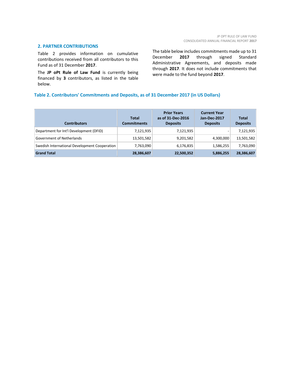#### **2. PARTNER CONTRIBUTIONS**

Table 2 provides information on cumulative contributions received from all contributors to this Fund as of 31 December **2017**.

The **JP oPt Rule of Law Fund** is currently being financed by **3** contributors, as listed in the table below.

The table below includes commitments made up to 31 December **2017** through signed Standard Administrative Agreements, and deposits made through **2017**. It does not include commitments that were made to the fund beyond **2017**.

## **Table 2. Contributors' Commitments and Deposits, as of 31 December 2017 (in US Dollars)**

| <b>Contributors</b>                           | Total<br><b>Commitments</b> | <b>Prior Years</b><br>as of 31-Dec-2016<br><b>Deposits</b> | <b>Current Year</b><br>Jan-Dec-2017<br><b>Deposits</b> | <b>Total</b><br><b>Deposits</b> |
|-----------------------------------------------|-----------------------------|------------------------------------------------------------|--------------------------------------------------------|---------------------------------|
| Department for Int'l Development (DFID)       | 7,121,935                   | 7,121,935                                                  |                                                        | 7,121,935                       |
| Government of Netherlands                     | 13,501,582                  | 9,201,582                                                  | 4,300,000                                              | 13,501,582                      |
| Swedish International Development Cooperation | 7,763,090                   | 6,176,835                                                  | 1,586,255                                              | 7,763,090                       |
| <b>Grand Total</b>                            | 28,386,607                  | 22,500,352                                                 | 5,886,255                                              | 28,386,607                      |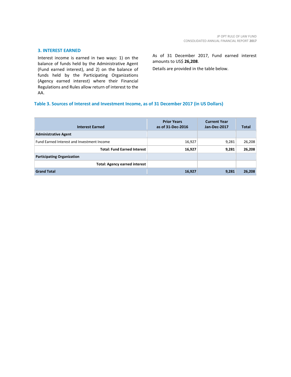## **3. INTEREST EARNED**

Interest income is earned in two ways: 1) on the balance of funds held by the Administrative Agent (Fund earned interest), and 2) on the balance of funds held by the Participating Organizations (Agency earned interest) where their Financial Regulations and Rules allow return of interest to the AA.

## As of 31 December 2017, Fund earned interest amounts to US\$ **26,208**.

Details are provided in the table below.

## **Table 3. Sources of Interest and Investment Income, as of 31 December 2017 (in US Dollars)**

| <b>Interest Earned</b>                            | <b>Prior Years</b><br>as of 31-Dec-2016 | <b>Current Year</b><br>Jan-Dec-2017 | <b>Total</b> |
|---------------------------------------------------|-----------------------------------------|-------------------------------------|--------------|
| <b>Administrative Agent</b>                       |                                         |                                     |              |
| <b>Fund Earned Interest and Investment Income</b> | 16,927                                  | 9,281                               | 26,208       |
| <b>Total: Fund Earned Interest</b>                | 16,927                                  | 9,281                               | 26,208       |
| <b>Participating Organization</b>                 |                                         |                                     |              |
| <b>Total: Agency earned interest</b>              |                                         |                                     |              |
| <b>Grand Total</b>                                | 16,927                                  | 9,281                               | 26,208       |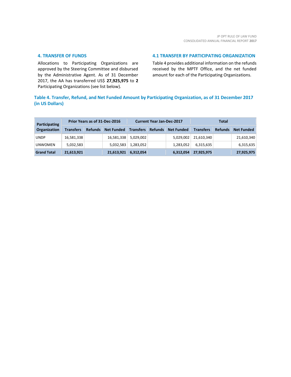## **4. TRANSFER OF FUNDS**

Allocations to Participating Organizations are approved by the Steering Committee and disbursed by the Administrative Agent. As of 31 December 2017, the AA has transferred US\$ **27,925,975** to **2** Participating Organizations (see list below).

## **4.1 TRANSFER BY PARTICIPATING ORGANIZATION**

Table 4 provides additional information on the refunds received by the MPTF Office, and the net funded amount for each of the Participating Organizations.

## **Table 4. Transfer, Refund, and Net Funded Amount by Participating Organization, as of 31 December 2017 (in US Dollars)**

| <b>Participating</b> |                  |                | Prior Years as of 31-Dec-2016 |                  | <b>Current Year Jan-Dec-2017</b> |                   | Total            |                |                   |
|----------------------|------------------|----------------|-------------------------------|------------------|----------------------------------|-------------------|------------------|----------------|-------------------|
| Organization         | <b>Transfers</b> | <b>Refunds</b> | <b>Net Funded</b>             | <b>Transfers</b> | <b>Refunds</b>                   | <b>Net Funded</b> | <b>Transfers</b> | <b>Refunds</b> | <b>Net Funded</b> |
| <b>UNDP</b>          | 16,581,338       |                | 16,581,338                    | 5,029,002        |                                  | 5,029,002         | 21,610,340       |                | 21,610,340        |
| <b>UNWOMEN</b>       | 5,032,583        |                | 5,032,583                     | 1,283,052        |                                  | 1,283,052         | 6,315,635        |                | 6,315,635         |
| <b>Grand Total</b>   | 21,613,921       |                | 21,613,921                    | 6,312,054        |                                  | 6,312,054         | 27,925,975       |                | 27,925,975        |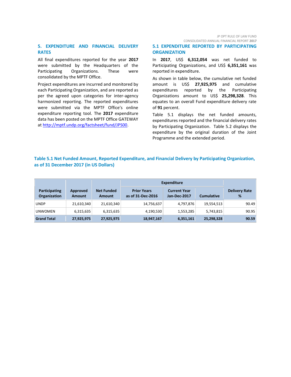## **5. EXPENDITURE AND FINANCIAL DELIVERY RATES**

All final expenditures reported for the year **2017** were submitted by the Headquarters of the Participating Organizations. These were consolidated by the MPTF Office.

Project expenditures are incurred and monitored by each Participating Organization, and are reported as per the agreed upon categories for inter-agency harmonized reporting. The reported expenditures were submitted via the MPTF Office's online expenditure reporting tool. The **2017** expenditure data has been posted on the MPTF Office GATEWAY at [http://mptf.undp.org/factsheet/fund/JPS00.](http://mptf.undp.org/factsheet/fund/JPS00)

JP OPT RULE OF LAW FUND CONSOLIDATED ANNUAL FINANCIAL REPORT **2017**

## **5.1 EXPENDITURE REPORTED BY PARTICIPATING ORGANIZATION**

In **2017**, US\$ **6,312,054** was net funded to Participating Organizations, and US\$ 6,351,161 was reported in expenditure.

As shown in table below, the cumulative net funded amount is US\$ **27,925,975** and cumulative expenditures reported by the Participating Organizations amount to US\$ **25,298,328**. This equates to an overall Fund expenditure delivery rate of **91** percent.

Table 5.1 displays the net funded amounts, expenditures reported and the financial delivery rates by Participating Organization. Table 5.2 displays the expenditure by the original duration of the Joint Programme and the extended period.

## **Table 5.1 Net Funded Amount, Reported Expenditure, and Financial Delivery by Participating Organization, as of 31 December 2017 (in US Dollars)**

|                                      |                           |                                    | <b>Expenditure</b>                      |                                     |                   |                           |
|--------------------------------------|---------------------------|------------------------------------|-----------------------------------------|-------------------------------------|-------------------|---------------------------|
| Participating<br><b>Organization</b> | Approved<br><b>Amount</b> | <b>Net Funded</b><br><b>Amount</b> | <b>Prior Years</b><br>as of 31-Dec-2016 | <b>Current Year</b><br>Jan-Dec-2017 | <b>Cumulative</b> | <b>Delivery Rate</b><br>% |
| <b>UNDP</b>                          | 21,610,340                | 21,610,340                         | 14,756,637                              | 4,797,876                           | 19,554,513        | 90.49                     |
| <b>UNWOMEN</b>                       | 6,315,635                 | 6,315,635                          | 4,190,530                               | 1,553,285                           | 5,743,815         | 90.95                     |
| <b>Grand Total</b>                   | 27,925,975                | 27,925,975                         | 18,947,167                              | 6,351,161                           | 25,298,328        | 90.59                     |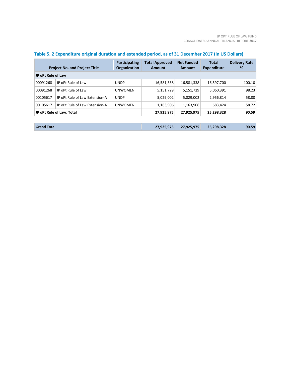|                    | <b>Project No. and Project Title</b> | <b>Participating</b><br><b>Organization</b> | <b>Total Approved</b><br>Amount | <b>Net Funded</b><br>Amount | <b>Total</b><br><b>Expenditure</b> | <b>Delivery Rate</b><br>% |
|--------------------|--------------------------------------|---------------------------------------------|---------------------------------|-----------------------------|------------------------------------|---------------------------|
| JP oPt Rule of Law |                                      |                                             |                                 |                             |                                    |                           |
| 00091268           | JP oPt Rule of Law                   | <b>UNDP</b>                                 | 16,581,338                      | 16,581,338                  | 16,597,700                         | 100.10                    |
| 00091268           | JP oPt Rule of Law                   | <b>UNWOMEN</b>                              | 5,151,729                       | 5,151,729                   | 5,060,391                          | 98.23                     |
| 00105617           | JP oPt Rule of Law Extension-A       | <b>UNDP</b>                                 | 5,029,002                       | 5,029,002                   | 2,956,814                          | 58.80                     |
| 00105617           | JP oPt Rule of Law Extension-A       | <b>UNWOMEN</b>                              | 1,163,906                       | 1,163,906                   | 683,424                            | 58.72                     |
|                    | JP oPt Rule of Law: Total            |                                             | 27,925,975                      | 27,925,975                  | 25,298,328                         | 90.59                     |
|                    |                                      |                                             |                                 |                             |                                    |                           |
| <b>Grand Total</b> |                                      |                                             | 27,925,975                      | 27,925,975                  | 25,298,328                         | 90.59                     |

## **Table 5. 2 Expenditure original duration and extended period, as of 31 December 2017 (in US Dollars)**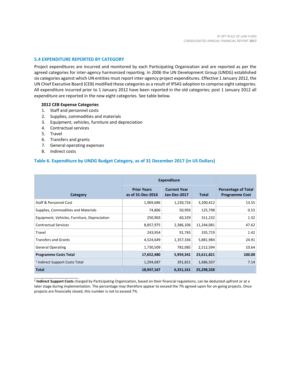## **5.4 EXPENDITURE REPORTED BY CATEGORY**

Project expenditures are incurred and monitored by each Participating Organization and are reported as per the agreed categories for inter-agency harmonized reporting. In 2006 the UN Development Group (UNDG) established six categories against which UN entities must report inter-agency project expenditures. Effective 1 January 2012, the UN Chief Executive Board (CEB) modified these categories as a result of IPSAS adoption to comprise eight categories. All expenditure incurred prior to 1 January 2012 have been reported in the old categories; post 1 January 2012 all expenditure are reported in the new eight categories. See table below.

## **2012 CEB Expense Categories**

- 1. Staff and personnel costs
- 2. Supplies, commodities and materials
- 3. Equipment, vehicles, furniture and depreciation
- 4. Contractual services
- 5. Travel
- 6. Transfers and grants
- 7. General operating expenses
- 8. Indirect costs

\_\_\_\_\_\_\_\_\_\_\_\_\_\_\_\_\_\_\_\_\_\_

## **Table 6. Expenditure by UNDG Budget Category, as of 31 December 2017 (in US Dollars)**

|                                              | <b>Expenditure</b>                      |                                     |              |                                                     |
|----------------------------------------------|-----------------------------------------|-------------------------------------|--------------|-----------------------------------------------------|
| Category                                     | <b>Prior Years</b><br>as of 31-Dec-2016 | <b>Current Year</b><br>Jan-Dec-2017 | <b>Total</b> | <b>Percentage of Total</b><br><b>Programme Cost</b> |
| Staff & Personnel Cost                       | 1,969,686                               | 1,230,726                           | 3,200,412    | 13.55                                               |
| Supplies, Commodities and Materials          | 74,806                                  | 50,993                              | 125,798      | 0.53                                                |
| Equipment, Vehicles, Furniture, Depreciation | 250,903                                 | 60,329                              | 311,232      | 1.32                                                |
| <b>Contractual Services</b>                  | 8,857,975                               | 2,386,106                           | 11,244,081   | 47.62                                               |
| Travel                                       | 243,954                                 | 91,765                              | 335,719      | 1.42                                                |
| <b>Transfers and Grants</b>                  | 4,524,649                               | 1,357,336                           | 5,881,984    | 24.91                                               |
| <b>General Operating</b>                     | 1,730,509                               | 782,085                             | 2,512,594    | 10.64                                               |
| <b>Programme Costs Total</b>                 | 17,652,480                              | 5,959,341                           | 23,611,821   | 100.00                                              |
| <sup>1</sup> Indirect Support Costs Total    | 1,294,687                               | 391,821                             | 1,686,507    | 7.14                                                |
| <b>Total</b>                                 | 18,947,167                              | 6,351,161                           | 25,298,328   |                                                     |

**1 Indirect Support Costs** charged by Participating Organization, based on their financial regulations, can be deducted upfront or at a later stage during implementation. The percentage may therefore appear to exceed the 7% agreed-upon for on-going projects. Once projects are financially closed, this number is not to exceed 7%.